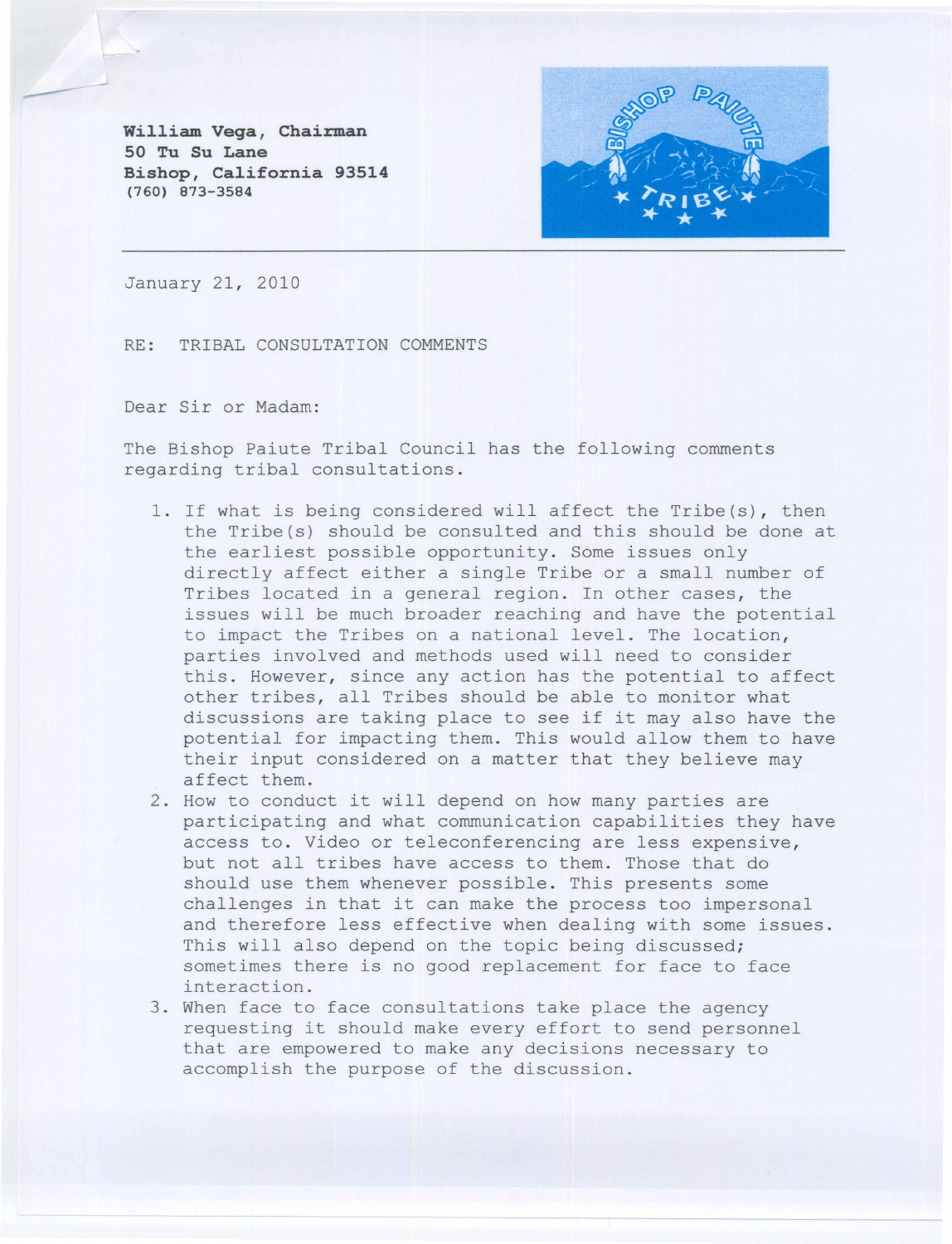**William Vega, Chairman 50 Tu Su Lane Bishop, California 93514 (760) 873-3584**



January 21, 2010

RE: TRIBAL CONSULTATION COMMENTS

Dear Sir or Madam:

The Bishop Paiute Tribal Council has the following comments regarding tribal consultations.

- 1. If what is being considered will affect the Tribe(s), then the Tribe(s) should be consulted and this should be done at the earliest possible opportunity. Some issues only directly affect either a single Tribe or a small number of Tribes located in a general region. In other cases, the issues will be much broader reaching and have the potential to impact the Tribes on a national level. The location, parties involved and methods used will need to consider this. However, since any action has the potential to affect other tribes, all Tribes should be able to monitor what discussions are taking place to see if it may also have the potential for impacting them. This would allow them to have their input considered on a matter that they believe may affect them.
- 2. How to conduct it will depend on how many parties are participating and what communication capabilities they have access to. Video or teleconferencing are less expensive, but not all tribes have access to them. Those that do should use them whenever possible. This presents some challenges in that it can make the process too impersonal and therefore less effective when dealing with some issues. This will also depend on the topic being discussed; sometimes there is no good replacement for face to face interaction.
- 3. When face to face consultations take place the agency requesting it should make every effort to send personnel that are empowered to make any decisions necessary to accomplish the purpose of the discussion.